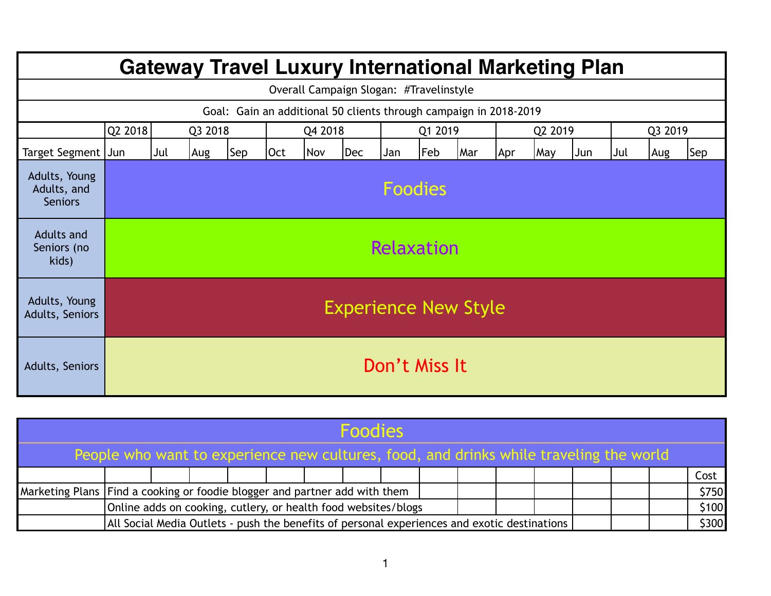| <b>Gateway Travel Luxury International Marketing Plan</b>         |                             |                                                             |         |  |         |  |  |         |  |     |         |     |     |         |     |            |
|-------------------------------------------------------------------|-----------------------------|-------------------------------------------------------------|---------|--|---------|--|--|---------|--|-----|---------|-----|-----|---------|-----|------------|
| Overall Campaign Slogan: #Travelinstyle                           |                             |                                                             |         |  |         |  |  |         |  |     |         |     |     |         |     |            |
| Goal: Gain an additional 50 clients through campaign in 2018-2019 |                             |                                                             |         |  |         |  |  |         |  |     |         |     |     |         |     |            |
|                                                                   | Q2 2018                     |                                                             | Q3 2018 |  | Q4 2018 |  |  | Q1 2019 |  |     | Q2 2019 |     |     | Q3 2019 |     |            |
| Target Segment                                                    | Jun                         | Sep<br>Dec<br>Feb<br>Jul<br>Oct<br><b>Nov</b><br>Aug<br>Jan |         |  |         |  |  |         |  | Mar | Apr     | May | Jun | Jul     | Aug | <b>Sep</b> |
| Adults, Young<br>Adults, and<br><b>Seniors</b>                    | <b>Foodies</b>              |                                                             |         |  |         |  |  |         |  |     |         |     |     |         |     |            |
| <b>Adults and</b><br>Seniors (no<br>kids)                         |                             | Relaxation                                                  |         |  |         |  |  |         |  |     |         |     |     |         |     |            |
| Adults, Young<br>Adults, Seniors                                  | <b>Experience New Style</b> |                                                             |         |  |         |  |  |         |  |     |         |     |     |         |     |            |
| Adults, Seniors                                                   | Don't Miss It               |                                                             |         |  |         |  |  |         |  |     |         |     |     |         |     |            |

| <b>Foodies</b>                                                                         |                                                                                              |  |  |  |  |  |  |  |  |  |  |  |  |       |       |       |
|----------------------------------------------------------------------------------------|----------------------------------------------------------------------------------------------|--|--|--|--|--|--|--|--|--|--|--|--|-------|-------|-------|
| People who want to experience new cultures, food, and drinks while traveling the world |                                                                                              |  |  |  |  |  |  |  |  |  |  |  |  |       |       |       |
|                                                                                        |                                                                                              |  |  |  |  |  |  |  |  |  |  |  |  |       |       | Cost  |
|                                                                                        | Marketing Plans   Find a cooking or foodie blogger and partner add with them                 |  |  |  |  |  |  |  |  |  |  |  |  | \$750 |       |       |
|                                                                                        | Online adds on cooking, cutlery, or health food websites/blogs                               |  |  |  |  |  |  |  |  |  |  |  |  |       | \$100 |       |
|                                                                                        | All Social Media Outlets - push the benefits of personal experiences and exotic destinations |  |  |  |  |  |  |  |  |  |  |  |  |       |       | \$300 |